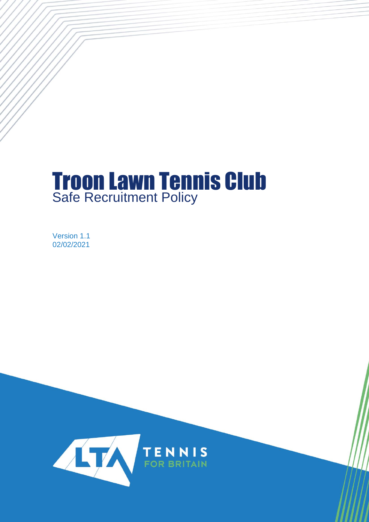# Troon Lawn Tennis Club Safe Recruitment Policy

Version 1.1 02/02/2021

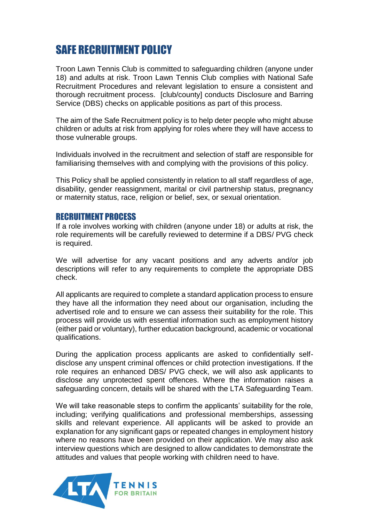# SAFE RECRUITMENT POLICY

Troon Lawn Tennis Club is committed to safeguarding children (anyone under 18) and adults at risk. Troon Lawn Tennis Club complies with National Safe Recruitment Procedures and relevant legislation to ensure a consistent and thorough recruitment process. [club/county] conducts Disclosure and Barring Service (DBS) checks on applicable positions as part of this process.

The aim of the Safe Recruitment policy is to help deter people who might abuse children or adults at risk from applying for roles where they will have access to those vulnerable groups.

Individuals involved in the recruitment and selection of staff are responsible for familiarising themselves with and complying with the provisions of this policy.

This Policy shall be applied consistently in relation to all staff regardless of age, disability, gender reassignment, marital or civil partnership status, pregnancy or maternity status, race, religion or belief, sex, or sexual orientation.

#### RECRUITMENT PROCESS

If a role involves working with children (anyone under 18) or adults at risk, the role requirements will be carefully reviewed to determine if a DBS/ PVG check is required.

We will advertise for any vacant positions and any adverts and/or job descriptions will refer to any requirements to complete the appropriate DBS check.

All applicants are required to complete a standard application process to ensure they have all the information they need about our organisation, including the advertised role and to ensure we can assess their suitability for the role. This process will provide us with essential information such as employment history (either paid or voluntary), further education background, academic or vocational qualifications.

During the application process applicants are asked to confidentially selfdisclose any unspent criminal offences or child protection investigations. If the role requires an enhanced DBS/ PVG check, we will also ask applicants to disclose any unprotected spent offences. Where the information raises a safeguarding concern, details will be shared with the LTA Safeguarding Team.

We will take reasonable steps to confirm the applicants' suitability for the role, including; verifying qualifications and professional memberships, assessing skills and relevant experience. All applicants will be asked to provide an explanation for any significant gaps or repeated changes in employment history where no reasons have been provided on their application. We may also ask interview questions which are designed to allow candidates to demonstrate the attitudes and values that people working with children need to have.

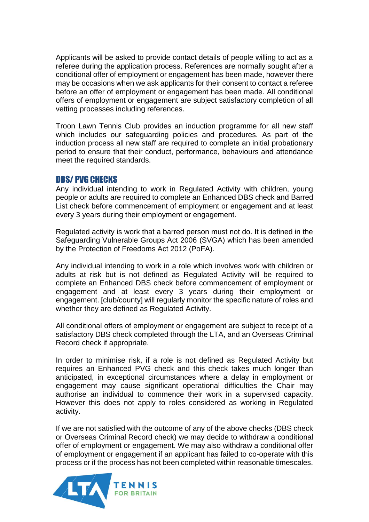Applicants will be asked to provide contact details of people willing to act as a referee during the application process. References are normally sought after a conditional offer of employment or engagement has been made, however there may be occasions when we ask applicants for their consent to contact a referee before an offer of employment or engagement has been made. All conditional offers of employment or engagement are subject satisfactory completion of all vetting processes including references.

Troon Lawn Tennis Club provides an induction programme for all new staff which includes our safeguarding policies and procedures. As part of the induction process all new staff are required to complete an initial probationary period to ensure that their conduct, performance, behaviours and attendance meet the required standards.

### DBS/ PVG CHECKS

Any individual intending to work in Regulated Activity with children, young people or adults are required to complete an Enhanced DBS check and Barred List check before commencement of employment or engagement and at least every 3 years during their employment or engagement.

Regulated activity is work that a barred person must not do. It is defined in the Safeguarding Vulnerable Groups Act 2006 (SVGA) which has been amended by the Protection of Freedoms Act 2012 (PoFA).

Any individual intending to work in a role which involves work with children or adults at risk but is not defined as Regulated Activity will be required to complete an Enhanced DBS check before commencement of employment or engagement and at least every 3 years during their employment or engagement. [club/county] will regularly monitor the specific nature of roles and whether they are defined as Regulated Activity.

All conditional offers of employment or engagement are subject to receipt of a satisfactory DBS check completed through the LTA, and an Overseas Criminal Record check if appropriate.

In order to minimise risk, if a role is not defined as Regulated Activity but requires an Enhanced PVG check and this check takes much longer than anticipated, in exceptional circumstances where a delay in employment or engagement may cause significant operational difficulties the Chair may authorise an individual to commence their work in a supervised capacity. However this does not apply to roles considered as working in Regulated activity.

If we are not satisfied with the outcome of any of the above checks (DBS check or Overseas Criminal Record check) we may decide to withdraw a conditional offer of employment or engagement. We may also withdraw a conditional offer of employment or engagement if an applicant has failed to co-operate with this process or if the process has not been completed within reasonable timescales.